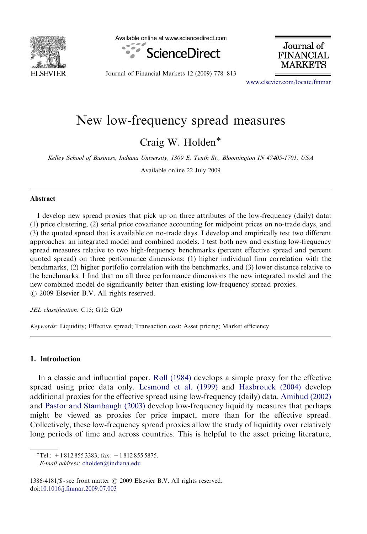

Available online at www.sciencedirect.com



Journal of **FINANCIAL** 

Journal of Financial Markets 12 (2009) 778–813

<www.elsevier.com/locate/finmar>

## New low-frequency spread measures

Craig W. Holden<sup>\*</sup>

Kelley School of Business, Indiana University, 1309 E. Tenth St., Bloomington IN 47405-1701, USA

Available online 22 July 2009

## Abstract

I develop new spread proxies that pick up on three attributes of the low-frequency (daily) data: (1) price clustering, (2) serial price covariance accounting for midpoint prices on no-trade days, and (3) the quoted spread that is available on no-trade days. I develop and empirically test two different approaches: an integrated model and combined models. I test both new and existing low-frequency spread measures relative to two high-frequency benchmarks (percent effective spread and percent quoted spread) on three performance dimensions: (1) higher individual firm correlation with the benchmarks, (2) higher portfolio correlation with the benchmarks, and (3) lower distance relative to the benchmarks. I find that on all three performance dimensions the new integrated model and the new combined model do significantly better than existing low-frequency spread proxies.  $\odot$  2009 Elsevier B.V. All rights reserved.

JEL classification: C15; G12; G20

Keywords: Liquidity; Effective spread; Transaction cost; Asset pricing; Market efficiency

## 1. Introduction

In a classic and influential paper, [Roll \(1984\)](#page--1-0) develops a simple proxy for the effective spread using price data only. [Lesmond et al. \(1999\)](#page--1-0) and [Hasbrouck \(2004\)](#page--1-0) develop additional proxies for the effective spread using low-frequency (daily) data. [Amihud \(2002\)](#page--1-0) and [Pastor and Stambaugh \(2003\)](#page--1-0) develop low-frequency liquidity measures that perhaps might be viewed as proxies for price impact, more than for the effective spread. Collectively, these low-frequency spread proxies allow the study of liquidity over relatively long periods of time and across countries. This is helpful to the asset pricing literature,

 $\overline{\text{Tel}}$ : +1 812 855 3383; fax: +1 812 855 5875.

E-mail address: [cholden@indiana.edu](mailto:cholden@indiana.edu)

<sup>1386-4181/</sup> $\$  - see front matter  $\circ$  2009 Elsevier B.V. All rights reserved. doi[:10.1016/j.finmar.2009.07.003](dx.doi.org/10.1016/j.finmar.2009.07.003)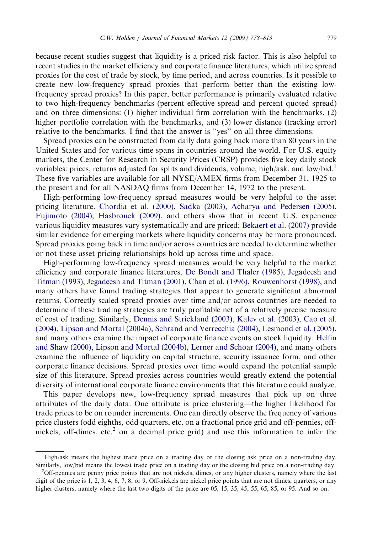because recent studies suggest that liquidity is a priced risk factor. This is also helpful to recent studies in the market efficiency and corporate finance literatures, which utilize spread proxies for the cost of trade by stock, by time period, and across countries. Is it possible to create new low-frequency spread proxies that perform better than the existing lowfrequency spread proxies? In this paper, better performance is primarily evaluated relative to two high-frequency benchmarks (percent effective spread and percent quoted spread)

and on three dimensions: (1) higher individual firm correlation with the benchmarks, (2) higher portfolio correlation with the benchmarks, and (3) lower distance (tracking error) relative to the benchmarks. I find that the answer is ''yes'' on all three dimensions.

Spread proxies can be constructed from daily data going back more than 80 years in the United States and for various time spans in countries around the world. For U.S. equity markets, the Center for Research in Security Prices (CRSP) provides five key daily stock variables: prices, returns adjusted for splits and dividends, volume, high/ask, and low/bid.<sup>1</sup> These five variables are available for all NYSE/AMEX firms from December 31, 1925 to the present and for all NASDAQ firms from December 14, 1972 to the present.

High-performing low-frequency spread measures would be very helpful to the asset pricing literature. [Chordia et al. \(2000\)](#page--1-0), [Sadka \(2003\)](#page--1-0), [Acharya and Pedersen \(2005\),](#page--1-0) [Fujimoto \(2004\)](#page--1-0), [Hasbrouck \(2009\),](#page--1-0) and others show that in recent U.S. experience various liquidity measures vary systematically and are priced; [Bekaert et al. \(2007\)](#page--1-0) provide similar evidence for emerging markets where liquidity concerns may be more pronounced. Spread proxies going back in time and/or across countries are needed to determine whether or not these asset pricing relationships hold up across time and space.

High-performing low-frequency spread measures would be very helpful to the market efficiency and corporate finance literatures. [De Bondt and Thaler \(1985\),](#page--1-0) [Jegadeesh and](#page--1-0) [Titman \(1993\),](#page--1-0) [Jegadeesh and Titman \(2001\)](#page--1-0), [Chan et al. \(1996\),](#page--1-0) [Rouwenhorst \(1998\)](#page--1-0), and many others have found trading strategies that appear to generate significant abnormal returns. Correctly scaled spread proxies over time and/or across countries are needed to determine if these trading strategies are truly profitable net of a relatively precise measure of cost of trading. Similarly, [Dennis and Strickland \(2003\)](#page--1-0), [Kalev et al. \(2003\),](#page--1-0) [Cao et al.](#page--1-0) [\(2004\),](#page--1-0) [Lipson and Mortal \(2004a\),](#page--1-0) [Schrand and Verrecchia \(2004\)](#page--1-0), [Lesmond et al. \(2005\),](#page--1-0) and many others examine the impact of corporate finance events on stock liquidity. [Helfin](#page--1-0) [and Shaw \(2000\),](#page--1-0) [Lipson and Mortal \(2004b\)](#page--1-0), [Lerner and Schoar \(2004\)](#page--1-0), and many others examine the influence of liquidity on capital structure, security issuance form, and other corporate finance decisions. Spread proxies over time would expand the potential sample size of this literature. Spread proxies across countries would greatly extend the potential diversity of international corporate finance environments that this literature could analyze.

This paper develops new, low-frequency spread measures that pick up on three attributes of the daily data. One attribute is price clustering—the higher likelihood for trade prices to be on rounder increments. One can directly observe the frequency of various price clusters (odd eighths, odd quarters, etc. on a fractional price grid and off-pennies, offnickels, off-dimes, etc.<sup>2</sup> on a decimal price grid) and use this information to infer the

<sup>&</sup>lt;sup>1</sup>High/ask means the highest trade price on a trading day or the closing ask price on a non-trading day. Similarly, low/bid means the lowest trade price on a trading day or the closing bid price on a non-trading day. <sup>2</sup>

<sup>&</sup>lt;sup>2</sup>Off-pennies are penny price points that are not nickels, dimes, or any higher clusters, namely where the last digit of the price is 1, 2, 3, 4, 6, 7, 8, or 9. Off-nickels are nickel price points that are not dimes, quarters, or any higher clusters, namely where the last two digits of the price are 05, 15, 35, 45, 55, 65, 85, or 95. And so on.